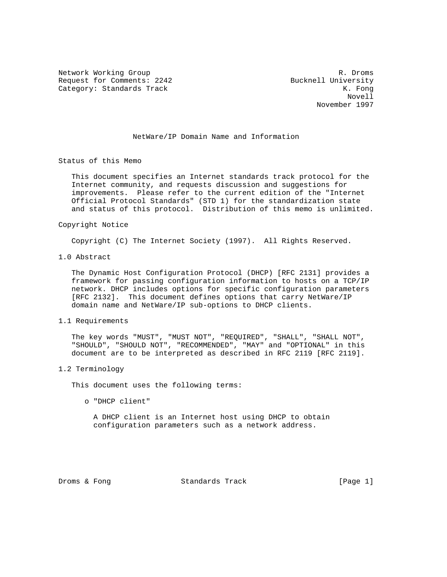Network Working Group and the set of the set of the set of the set of the set of the set of the set of the set of the set of the set of the set of the set of the set of the set of the set of the set of the set of the set o Request for Comments: 2242 Bucknell University Category: Standards Track K. Fong

 Novell November 1997

NetWare/IP Domain Name and Information

Status of this Memo

 This document specifies an Internet standards track protocol for the Internet community, and requests discussion and suggestions for improvements. Please refer to the current edition of the "Internet Official Protocol Standards" (STD 1) for the standardization state and status of this protocol. Distribution of this memo is unlimited.

## Copyright Notice

Copyright (C) The Internet Society (1997). All Rights Reserved.

1.0 Abstract

 The Dynamic Host Configuration Protocol (DHCP) [RFC 2131] provides a framework for passing configuration information to hosts on a TCP/IP network. DHCP includes options for specific configuration parameters [RFC 2132]. This document defines options that carry NetWare/IP domain name and NetWare/IP sub-options to DHCP clients.

## 1.1 Requirements

 The key words "MUST", "MUST NOT", "REQUIRED", "SHALL", "SHALL NOT", "SHOULD", "SHOULD NOT", "RECOMMENDED", "MAY" and "OPTIONAL" in this document are to be interpreted as described in RFC 2119 [RFC 2119].

## 1.2 Terminology

This document uses the following terms:

o "DHCP client"

 A DHCP client is an Internet host using DHCP to obtain configuration parameters such as a network address.

Droms & Fong Standards Track [Page 1]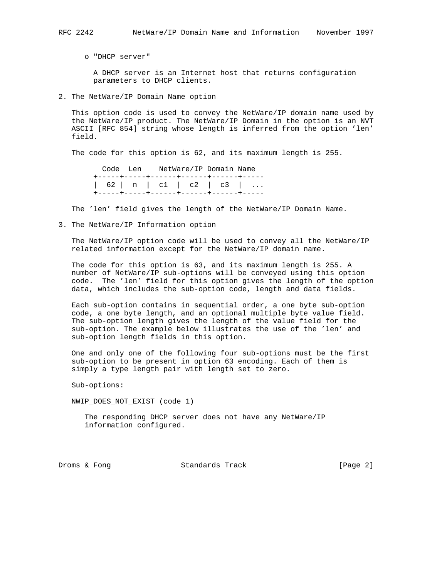o "DHCP server"

 A DHCP server is an Internet host that returns configuration parameters to DHCP clients.

2. The NetWare/IP Domain Name option

 This option code is used to convey the NetWare/IP domain name used by the NetWare/IP product. The NetWare/IP Domain in the option is an NVT ASCII [RFC 854] string whose length is inferred from the option 'len' field.

The code for this option is 62, and its maximum length is 255.

 Code Len NetWare/IP Domain Name +-----+-----+------+------+------+----- | 62 | n | c1 | c2 | c3 | ... +-----+-----+------+------+------+-----

The 'len' field gives the length of the NetWare/IP Domain Name.

3. The NetWare/IP Information option

 The NetWare/IP option code will be used to convey all the NetWare/IP related information except for the NetWare/IP domain name.

 The code for this option is 63, and its maximum length is 255. A number of NetWare/IP sub-options will be conveyed using this option code. The 'len' field for this option gives the length of the option data, which includes the sub-option code, length and data fields.

 Each sub-option contains in sequential order, a one byte sub-option code, a one byte length, and an optional multiple byte value field. The sub-option length gives the length of the value field for the sub-option. The example below illustrates the use of the 'len' and sub-option length fields in this option.

 One and only one of the following four sub-options must be the first sub-option to be present in option 63 encoding. Each of them is simply a type length pair with length set to zero.

Sub-options:

NWIP\_DOES\_NOT\_EXIST (code 1)

 The responding DHCP server does not have any NetWare/IP information configured.

Droms & Fong Standards Track [Page 2]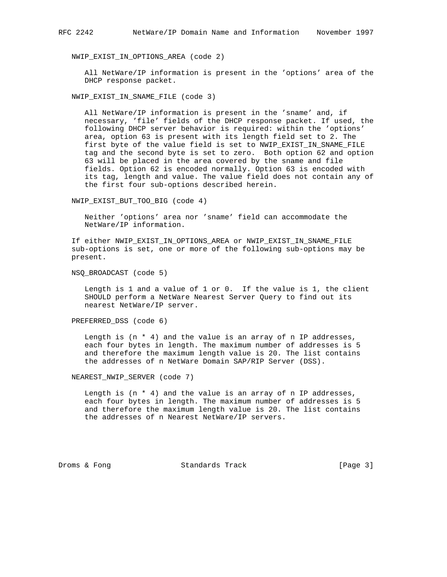NWIP\_EXIST\_IN\_OPTIONS\_AREA (code 2)

 All NetWare/IP information is present in the 'options' area of the DHCP response packet.

NWIP\_EXIST\_IN\_SNAME\_FILE (code 3)

 All NetWare/IP information is present in the 'sname' and, if necessary, 'file' fields of the DHCP response packet. If used, the following DHCP server behavior is required: within the 'options' area, option 63 is present with its length field set to 2. The first byte of the value field is set to NWIP\_EXIST\_IN\_SNAME\_FILE tag and the second byte is set to zero. Both option 62 and option 63 will be placed in the area covered by the sname and file fields. Option 62 is encoded normally. Option 63 is encoded with its tag, length and value. The value field does not contain any of the first four sub-options described herein.

NWIP\_EXIST\_BUT\_TOO\_BIG (code 4)

 Neither 'options' area nor 'sname' field can accommodate the NetWare/IP information.

 If either NWIP\_EXIST\_IN\_OPTIONS\_AREA or NWIP\_EXIST\_IN\_SNAME\_FILE sub-options is set, one or more of the following sub-options may be present.

NSQ\_BROADCAST (code 5)

 Length is 1 and a value of 1 or 0. If the value is 1, the client SHOULD perform a NetWare Nearest Server Query to find out its nearest NetWare/IP server.

PREFERRED\_DSS (code 6)

Length is  $(n * 4)$  and the value is an array of n IP addresses, each four bytes in length. The maximum number of addresses is 5 and therefore the maximum length value is 20. The list contains the addresses of n NetWare Domain SAP/RIP Server (DSS).

NEAREST\_NWIP\_SERVER (code 7)

Length is  $(n * 4)$  and the value is an array of n IP addresses, each four bytes in length. The maximum number of addresses is 5 and therefore the maximum length value is 20. The list contains the addresses of n Nearest NetWare/IP servers.

Droms & Fong Standards Track [Page 3]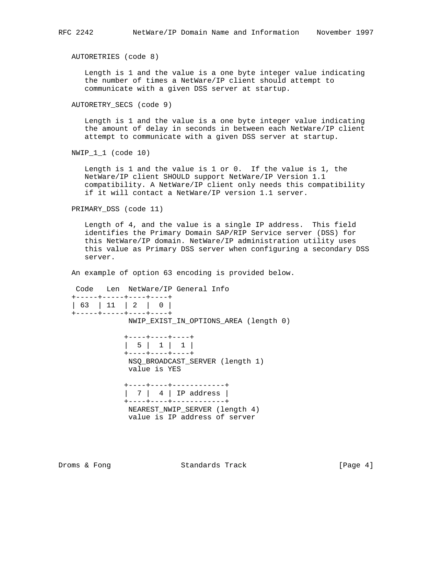AUTORETRIES (code 8)

 Length is 1 and the value is a one byte integer value indicating the number of times a NetWare/IP client should attempt to communicate with a given DSS server at startup.

```
 AUTORETRY_SECS (code 9)
```
 Length is 1 and the value is a one byte integer value indicating the amount of delay in seconds in between each NetWare/IP client attempt to communicate with a given DSS server at startup.

NWIP\_1\_1 (code 10)

 Length is 1 and the value is 1 or 0. If the value is 1, the NetWare/IP client SHOULD support NetWare/IP Version 1.1 compatibility. A NetWare/IP client only needs this compatibility if it will contact a NetWare/IP version 1.1 server.

PRIMARY\_DSS (code 11)

 Length of 4, and the value is a single IP address. This field identifies the Primary Domain SAP/RIP Service server (DSS) for this NetWare/IP domain. NetWare/IP administration utility uses this value as Primary DSS server when configuring a secondary DSS server.

An example of option 63 encoding is provided below.

Code Len NetWare/IP General Info

| +-----+-----+----+----+<br>+-----+-----+----+----+                                                                      |
|-------------------------------------------------------------------------------------------------------------------------|
| NWIP EXIST IN OPTIONS AREA (length 0)                                                                                   |
| +----+----+----+<br>  5   1   1  <br>+----+----+----+<br>NSQ BROADCAST SERVER (length 1)<br>value is YES                |
| +----+----+------------+<br>+----+----+------------+<br>NEAREST NWIP SERVER (length 4)<br>value is IP address of server |

Droms & Fong Standards Track [Page 4]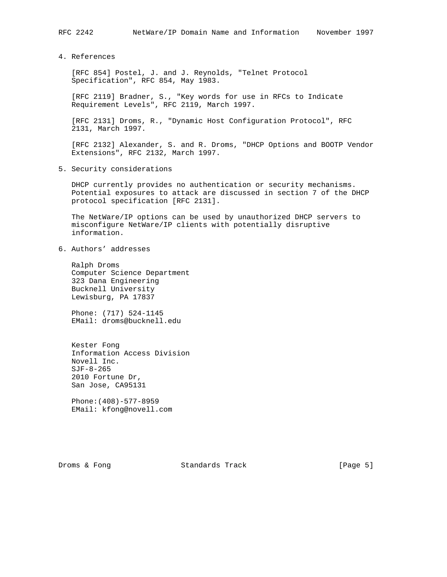4. References

 [RFC 854] Postel, J. and J. Reynolds, "Telnet Protocol Specification", RFC 854, May 1983.

 [RFC 2119] Bradner, S., "Key words for use in RFCs to Indicate Requirement Levels", RFC 2119, March 1997.

 [RFC 2131] Droms, R., "Dynamic Host Configuration Protocol", RFC 2131, March 1997.

 [RFC 2132] Alexander, S. and R. Droms, "DHCP Options and BOOTP Vendor Extensions", RFC 2132, March 1997.

5. Security considerations

 DHCP currently provides no authentication or security mechanisms. Potential exposures to attack are discussed in section 7 of the DHCP protocol specification [RFC 2131].

 The NetWare/IP options can be used by unauthorized DHCP servers to misconfigure NetWare/IP clients with potentially disruptive information.

6. Authors' addresses

 Ralph Droms Computer Science Department 323 Dana Engineering Bucknell University Lewisburg, PA 17837

 Phone: (717) 524-1145 EMail: droms@bucknell.edu

 Kester Fong Information Access Division Novell Inc. SJF-8-265 2010 Fortune Dr, San Jose, CA95131

 Phone:(408)-577-8959 EMail: kfong@novell.com

Droms & Fong Standards Track [Page 5]